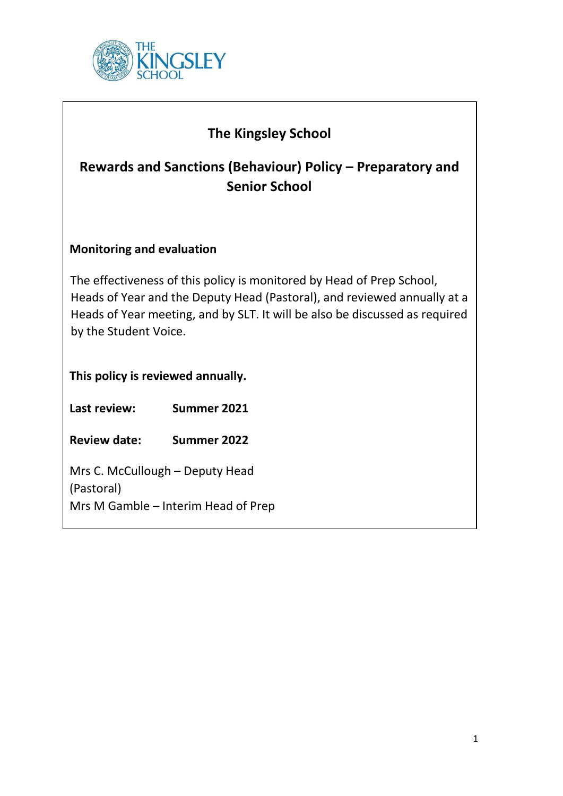

| <b>The Kingsley School</b><br>Rewards and Sanctions (Behaviour) Policy – Preparatory and<br><b>Senior School</b>                                                                                                                                          |             |  |  |
|-----------------------------------------------------------------------------------------------------------------------------------------------------------------------------------------------------------------------------------------------------------|-------------|--|--|
| <b>Monitoring and evaluation</b>                                                                                                                                                                                                                          |             |  |  |
| The effectiveness of this policy is monitored by Head of Prep School,<br>Heads of Year and the Deputy Head (Pastoral), and reviewed annually at a<br>Heads of Year meeting, and by SLT. It will be also be discussed as required<br>by the Student Voice. |             |  |  |
| This policy is reviewed annually.                                                                                                                                                                                                                         |             |  |  |
| Last review:                                                                                                                                                                                                                                              | Summer 2021 |  |  |
| <b>Review date:</b>                                                                                                                                                                                                                                       | Summer 2022 |  |  |
| Mrs C. McCullough - Deputy Head<br>(Pastoral)<br>Mrs M Gamble - Interim Head of Prep                                                                                                                                                                      |             |  |  |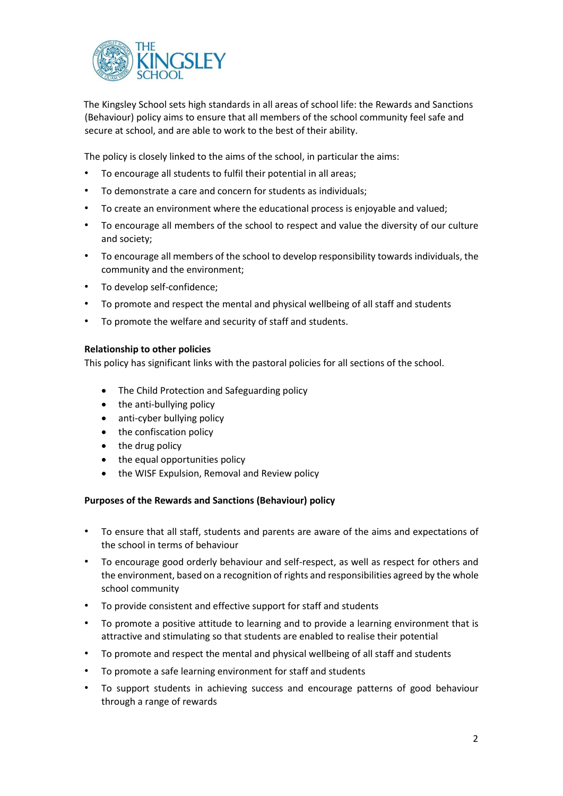

The Kingsley School sets high standards in all areas of school life: the Rewards and Sanctions (Behaviour) policy aims to ensure that all members of the school community feel safe and secure at school, and are able to work to the best of their ability.

The policy is closely linked to the aims of the school, in particular the aims:

- To encourage all students to fulfil their potential in all areas;
- To demonstrate a care and concern for students as individuals;
- To create an environment where the educational process is enjoyable and valued;
- To encourage all members of the school to respect and value the diversity of our culture and society;
- To encourage all members of the school to develop responsibility towards individuals, the community and the environment;
- To develop self-confidence;
- To promote and respect the mental and physical wellbeing of all staff and students
- To promote the welfare and security of staff and students.

### **Relationship to other policies**

This policy has significant links with the pastoral policies for all sections of the school.

- The Child Protection and Safeguarding policy
- the anti-bullying policy
- anti-cyber bullying policy
- the confiscation policy
- the drug policy
- the equal opportunities policy
- the WISF Expulsion, Removal and Review policy

## **Purposes of the Rewards and Sanctions (Behaviour) policy**

- To ensure that all staff, students and parents are aware of the aims and expectations of the school in terms of behaviour
- To encourage good orderly behaviour and self-respect, as well as respect for others and the environment, based on a recognition of rights and responsibilities agreed by the whole school community
- To provide consistent and effective support for staff and students
- To promote a positive attitude to learning and to provide a learning environment that is attractive and stimulating so that students are enabled to realise their potential
- To promote and respect the mental and physical wellbeing of all staff and students
- To promote a safe learning environment for staff and students
- To support students in achieving success and encourage patterns of good behaviour through a range of rewards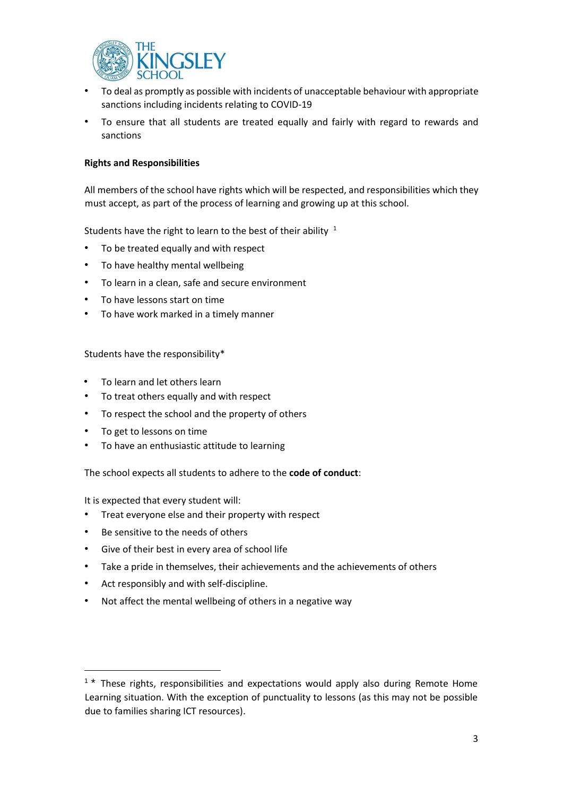

- To deal as promptly as possible with incidents of unacceptable behaviour with appropriate sanctions including incidents relating to COVID-19
- To ensure that all students are treated equally and fairly with regard to rewards and sanctions

## **Rights and Responsibilities**

All members of the school have rights which will be respected, and responsibilities which they must accept, as part of the process of learning and growing up at this school.

Students have the right to learn to the best of their ability  $1$ 

- To be treated equally and with respect
- To have healthy mental wellbeing
- To learn in a clean, safe and secure environment
- To have lessons start on time
- To have work marked in a timely manner

Students have the responsibility\*

- To learn and let others learn
- To treat others equally and with respect
- To respect the school and the property of others
- To get to lessons on time

 $\overline{a}$ 

• To have an enthusiastic attitude to learning

The school expects all students to adhere to the **code of conduct**:

It is expected that every student will:

- Treat everyone else and their property with respect
- Be sensitive to the needs of others
- Give of their best in every area of school life
- Take a pride in themselves, their achievements and the achievements of others
- Act responsibly and with self-discipline.
- Not affect the mental wellbeing of others in a negative way

<sup>&</sup>lt;sup>1</sup> \* These rights, responsibilities and expectations would apply also during Remote Home Learning situation. With the exception of punctuality to lessons (as this may not be possible due to families sharing ICT resources).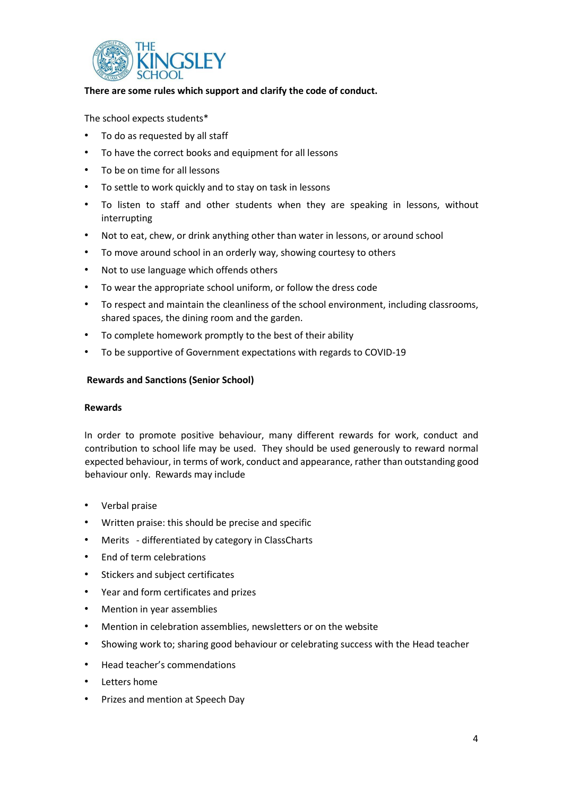

## **There are some rules which support and clarify the code of conduct.**

The school expects students\*

- To do as requested by all staff
- To have the correct books and equipment for all lessons
- To be on time for all lessons
- To settle to work quickly and to stay on task in lessons
- To listen to staff and other students when they are speaking in lessons, without interrupting
- Not to eat, chew, or drink anything other than water in lessons, or around school
- To move around school in an orderly way, showing courtesy to others
- Not to use language which offends others
- To wear the appropriate school uniform, or follow the dress code
- To respect and maintain the cleanliness of the school environment, including classrooms, shared spaces, the dining room and the garden.
- To complete homework promptly to the best of their ability
- To be supportive of Government expectations with regards to COVID-19

### **Rewards and Sanctions (Senior School)**

### **Rewards**

In order to promote positive behaviour, many different rewards for work, conduct and contribution to school life may be used. They should be used generously to reward normal expected behaviour, in terms of work, conduct and appearance, rather than outstanding good behaviour only. Rewards may include

- Verbal praise
- Written praise: this should be precise and specific
- Merits differentiated by category in ClassCharts
- End of term celebrations
- Stickers and subject certificates
- Year and form certificates and prizes
- Mention in year assemblies
- Mention in celebration assemblies, newsletters or on the website
- Showing work to; sharing good behaviour or celebrating success with the Head teacher
- Head teacher's commendations
- Letters home
- Prizes and mention at Speech Day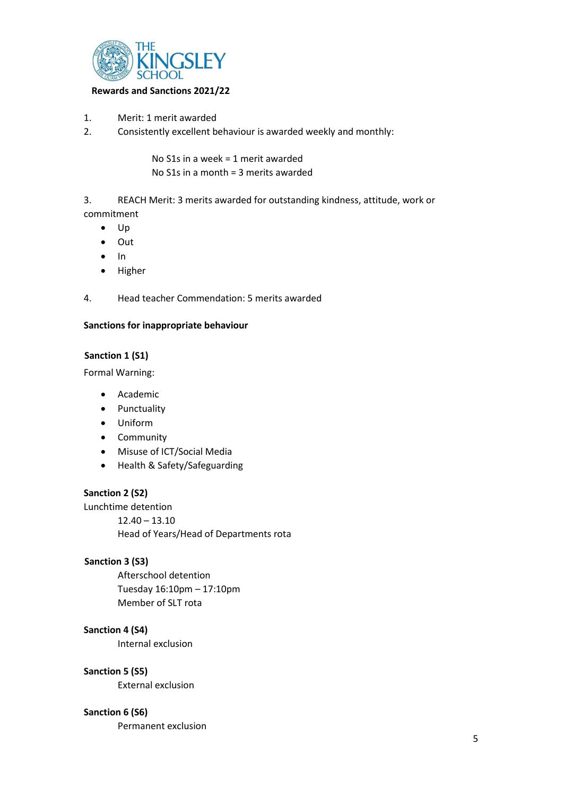

## **Rewards and Sanctions 2021/22**

- 1. Merit: 1 merit awarded
- 2. Consistently excellent behaviour is awarded weekly and monthly:

No S1s in a week = 1 merit awarded No S1s in a month = 3 merits awarded

3. REACH Merit: 3 merits awarded for outstanding kindness, attitude, work or commitment

- $\bullet$  Up
- Out
- $\bullet$  In
- Higher
- 4. Head teacher Commendation: 5 merits awarded

## **Sanctions for inappropriate behaviour**

# **Sanction 1 (S1)**

Formal Warning:

- Academic
- Punctuality
- Uniform
- Community
- Misuse of ICT/Social Media
- Health & Safety/Safeguarding

## **Sanction 2 (S2)**

Lunchtime detention 12.40 – 13.10 Head of Years/Head of Departments rota

## **Sanction 3 (S3)**

Afterschool detention Tuesday 16:10pm – 17:10pm Member of SLT rota

# **Sanction 4 (S4)**

Internal exclusion

## **Sanction 5 (S5)**

External exclusion

## **Sanction 6 (S6)**

Permanent exclusion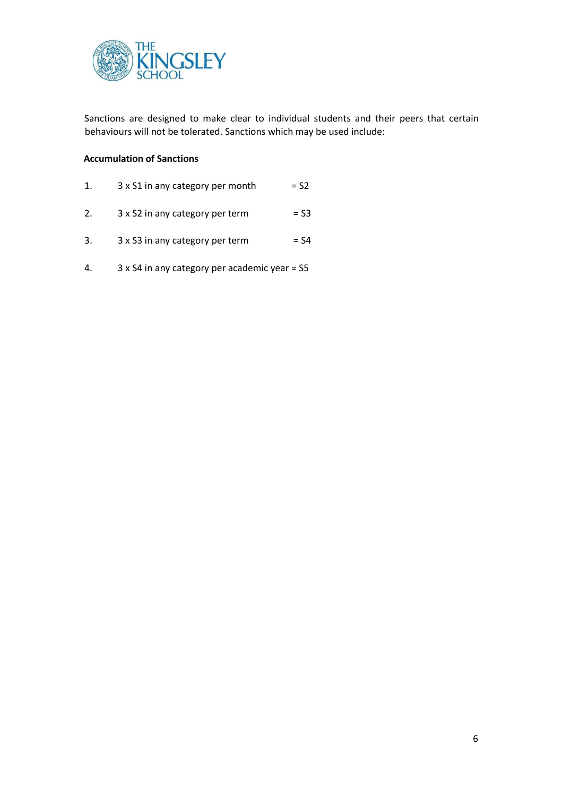

Sanctions are designed to make clear to individual students and their peers that certain behaviours will not be tolerated. Sanctions which may be used include:

## **Accumulation of Sanctions**

- 1.  $3 \times S1$  in any category per month  $= S2$
- 2.  $3 \times S2$  in any category per term  $= S3$
- 3.  $3 \times S3$  in any category per term  $= S4$
- 4. 3 x S4 in any category per academic year = S5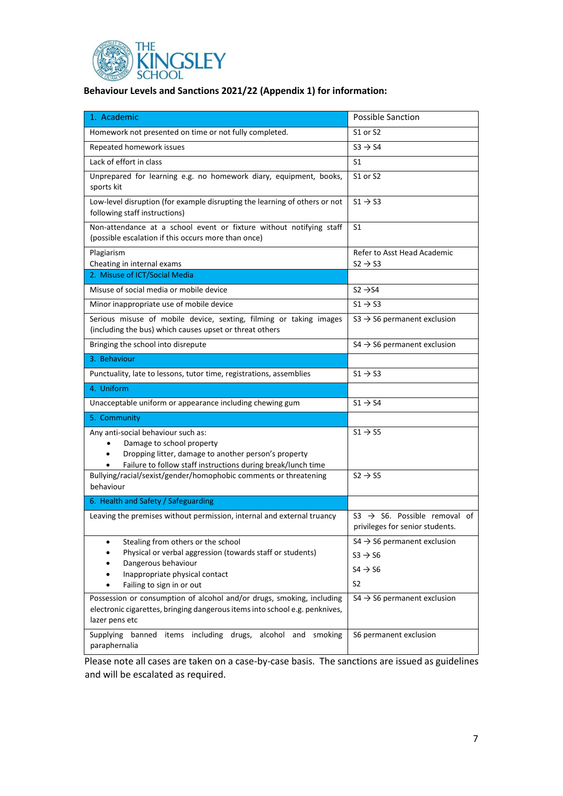

| 1. Academic                                                                                                                                                                                | <b>Possible Sanction</b>                                                                                |
|--------------------------------------------------------------------------------------------------------------------------------------------------------------------------------------------|---------------------------------------------------------------------------------------------------------|
| Homework not presented on time or not fully completed.                                                                                                                                     | S1 or S2                                                                                                |
| Repeated homework issues                                                                                                                                                                   | $S3 \rightarrow S4$                                                                                     |
| Lack of effort in class                                                                                                                                                                    | S1                                                                                                      |
| Unprepared for learning e.g. no homework diary, equipment, books,<br>sports kit                                                                                                            | S1 or S2                                                                                                |
| Low-level disruption (for example disrupting the learning of others or not<br>following staff instructions)                                                                                | $51 \rightarrow 53$                                                                                     |
| Non-attendance at a school event or fixture without notifying staff<br>(possible escalation if this occurs more than once)                                                                 | S1                                                                                                      |
| Plagiarism<br>Cheating in internal exams                                                                                                                                                   | Refer to Asst Head Academic<br>$S2 \rightarrow S3$                                                      |
| 2. Misuse of ICT/Social Media                                                                                                                                                              |                                                                                                         |
| Misuse of social media or mobile device                                                                                                                                                    | $S2 \rightarrow S4$                                                                                     |
| Minor inappropriate use of mobile device                                                                                                                                                   | $51 \rightarrow 53$                                                                                     |
| Serious misuse of mobile device, sexting, filming or taking images<br>(including the bus) which causes upset or threat others                                                              | $S3 \rightarrow S6$ permanent exclusion                                                                 |
| Bringing the school into disrepute                                                                                                                                                         | $S4 \rightarrow S6$ permanent exclusion                                                                 |
| 3. Behaviour                                                                                                                                                                               |                                                                                                         |
| Punctuality, late to lessons, tutor time, registrations, assemblies                                                                                                                        | $51 \rightarrow 53$                                                                                     |
| 4. Uniform                                                                                                                                                                                 |                                                                                                         |
| Unacceptable uniform or appearance including chewing gum                                                                                                                                   | $51 \rightarrow 54$                                                                                     |
| 5. Community                                                                                                                                                                               |                                                                                                         |
| Any anti-social behaviour such as:<br>Damage to school property<br>Dropping litter, damage to another person's property<br>Failure to follow staff instructions during break/lunch time    | $S1 \rightarrow S5$                                                                                     |
| Bullying/racial/sexist/gender/homophobic comments or threatening<br>behaviour                                                                                                              | $S2 \rightarrow S5$                                                                                     |
| 6. Health and Safety / Safeguarding                                                                                                                                                        |                                                                                                         |
| Leaving the premises without permission, internal and external truancy                                                                                                                     | $S3 \rightarrow S6$ . Possible removal of<br>privileges for senior students.                            |
| Stealing from others or the school<br>Physical or verbal aggression (towards staff or students)<br>Dangerous behaviour<br>Inappropriate physical contact<br>Failing to sign in or out<br>٠ | $S4 \rightarrow S6$ permanent exclusion<br>$S3 \rightarrow S6$<br>$S4 \rightarrow S6$<br>S <sub>2</sub> |
| Possession or consumption of alcohol and/or drugs, smoking, including<br>electronic cigarettes, bringing dangerous items into school e.g. penknives,<br>lazer pens etc                     | $S4 \rightarrow S6$ permanent exclusion                                                                 |
| Supplying banned items including drugs, alcohol and<br>smoking<br>paraphernalia                                                                                                            | S6 permanent exclusion                                                                                  |

Please note all cases are taken on a case-by-case basis. The sanctions are issued as guidelines and will be escalated as required.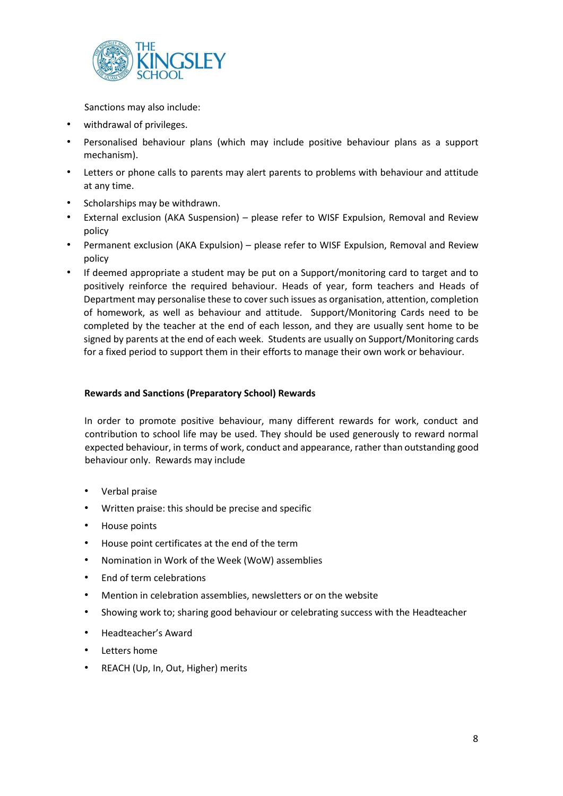

Sanctions may also include:

- withdrawal of privileges.
- Personalised behaviour plans (which may include positive behaviour plans as a support mechanism).
- Letters or phone calls to parents may alert parents to problems with behaviour and attitude at any time.
- Scholarships may be withdrawn.
- External exclusion (AKA Suspension) please refer to WISF Expulsion, Removal and Review policy
- Permanent exclusion (AKA Expulsion) please refer to WISF Expulsion, Removal and Review policy
- If deemed appropriate a student may be put on a Support/monitoring card to target and to positively reinforce the required behaviour. Heads of year, form teachers and Heads of Department may personalise these to cover such issues as organisation, attention, completion of homework, as well as behaviour and attitude. Support/Monitoring Cards need to be completed by the teacher at the end of each lesson, and they are usually sent home to be signed by parents at the end of each week. Students are usually on Support/Monitoring cards for a fixed period to support them in their efforts to manage their own work or behaviour.

## **Rewards and Sanctions (Preparatory School) Rewards**

In order to promote positive behaviour, many different rewards for work, conduct and contribution to school life may be used. They should be used generously to reward normal expected behaviour, in terms of work, conduct and appearance, rather than outstanding good behaviour only. Rewards may include

- Verbal praise
- Written praise: this should be precise and specific
- House points
- House point certificates at the end of the term
- Nomination in Work of the Week (WoW) assemblies
- End of term celebrations
- Mention in celebration assemblies, newsletters or on the website
- Showing work to; sharing good behaviour or celebrating success with the Headteacher
- Headteacher's Award
- **Letters home**
- REACH (Up, In, Out, Higher) merits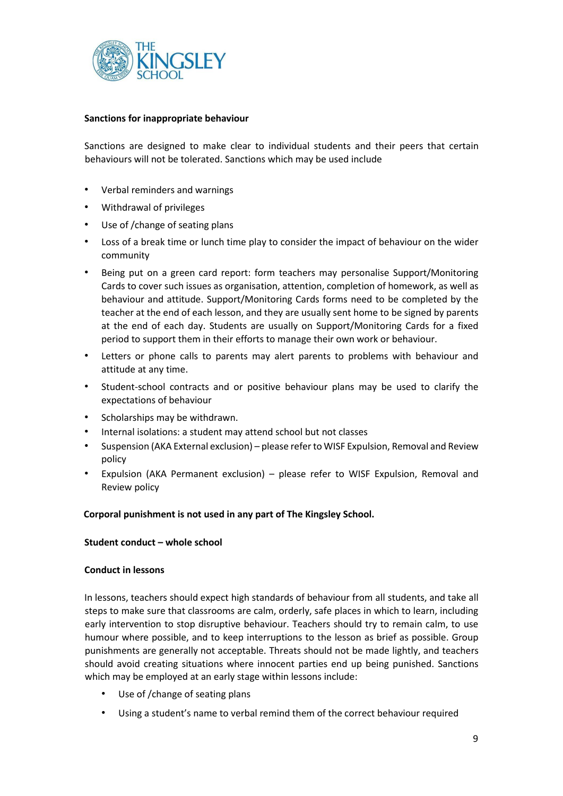

## **Sanctions for inappropriate behaviour**

Sanctions are designed to make clear to individual students and their peers that certain behaviours will not be tolerated. Sanctions which may be used include

- Verbal reminders and warnings
- Withdrawal of privileges
- Use of /change of seating plans
- Loss of a break time or lunch time play to consider the impact of behaviour on the wider community
- Being put on a green card report: form teachers may personalise Support/Monitoring Cards to cover such issues as organisation, attention, completion of homework, as well as behaviour and attitude. Support/Monitoring Cards forms need to be completed by the teacher at the end of each lesson, and they are usually sent home to be signed by parents at the end of each day. Students are usually on Support/Monitoring Cards for a fixed period to support them in their efforts to manage their own work or behaviour.
- Letters or phone calls to parents may alert parents to problems with behaviour and attitude at any time.
- Student-school contracts and or positive behaviour plans may be used to clarify the expectations of behaviour
- Scholarships may be withdrawn.
- Internal isolations: a student may attend school but not classes
- Suspension (AKA External exclusion) please refer to WISF Expulsion, Removal and Review policy
- Expulsion (AKA Permanent exclusion) please refer to WISF Expulsion, Removal and Review policy

## **Corporal punishment is not used in any part of The Kingsley School.**

## **Student conduct – whole school**

## **Conduct in lessons**

In lessons, teachers should expect high standards of behaviour from all students, and take all steps to make sure that classrooms are calm, orderly, safe places in which to learn, including early intervention to stop disruptive behaviour. Teachers should try to remain calm, to use humour where possible, and to keep interruptions to the lesson as brief as possible. Group punishments are generally not acceptable. Threats should not be made lightly, and teachers should avoid creating situations where innocent parties end up being punished. Sanctions which may be employed at an early stage within lessons include:

- Use of /change of seating plans
- Using a student's name to verbal remind them of the correct behaviour required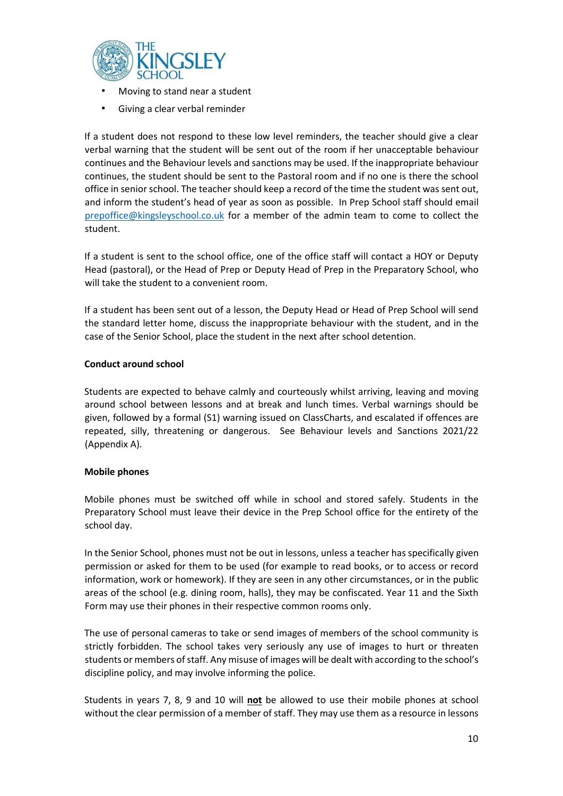

- Moving to stand near a student
- Giving a clear verbal reminder

If a student does not respond to these low level reminders, the teacher should give a clear verbal warning that the student will be sent out of the room if her unacceptable behaviour continues and the Behaviour levels and sanctions may be used. If the inappropriate behaviour continues, the student should be sent to the Pastoral room and if no one is there the school office in senior school. The teacher should keep a record of the time the student was sent out, and inform the student's head of year as soon as possible. In Prep School staff should email [prepoffice@kingsleyschool.co.uk](mailto:prepoffice@kingsleyschool.co.uk) for a member of the admin team to come to collect the student.

If a student is sent to the school office, one of the office staff will contact a HOY or Deputy Head (pastoral), or the Head of Prep or Deputy Head of Prep in the Preparatory School, who will take the student to a convenient room.

If a student has been sent out of a lesson, the Deputy Head or Head of Prep School will send the standard letter home, discuss the inappropriate behaviour with the student, and in the case of the Senior School, place the student in the next after school detention.

# **Conduct around school**

Students are expected to behave calmly and courteously whilst arriving, leaving and moving around school between lessons and at break and lunch times. Verbal warnings should be given, followed by a formal (S1) warning issued on ClassCharts, and escalated if offences are repeated, silly, threatening or dangerous. See Behaviour levels and Sanctions 2021/22 (Appendix A).

## **Mobile phones**

Mobile phones must be switched off while in school and stored safely. Students in the Preparatory School must leave their device in the Prep School office for the entirety of the school day.

In the Senior School, phones must not be out in lessons, unless a teacher has specifically given permission or asked for them to be used (for example to read books, or to access or record information, work or homework). If they are seen in any other circumstances, or in the public areas of the school (e.g. dining room, halls), they may be confiscated. Year 11 and the Sixth Form may use their phones in their respective common rooms only.

The use of personal cameras to take or send images of members of the school community is strictly forbidden. The school takes very seriously any use of images to hurt or threaten students or members of staff. Any misuse of images will be dealt with according to the school's discipline policy, and may involve informing the police.

Students in years 7, 8, 9 and 10 will **not** be allowed to use their mobile phones at school without the clear permission of a member of staff. They may use them as a resource in lessons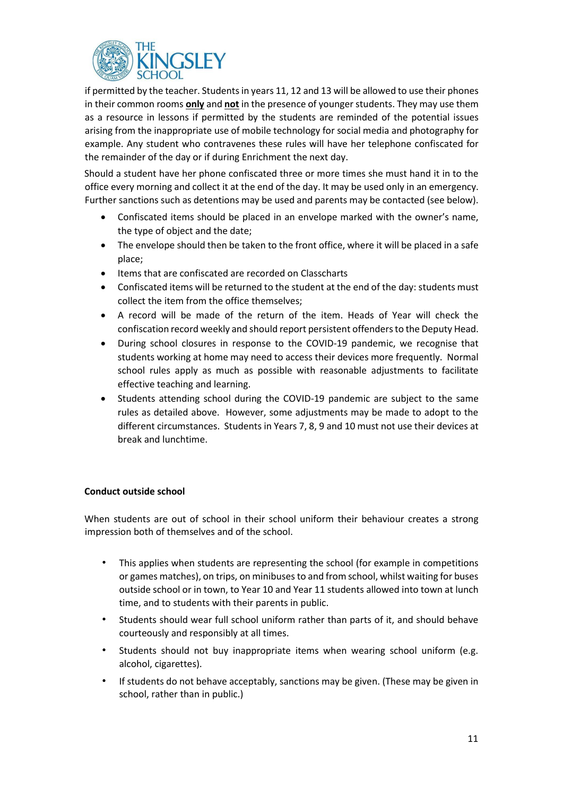

if permitted by the teacher. Students in years 11, 12 and 13 will be allowed to use their phones in their common rooms **only** and **not** in the presence of younger students. They may use them as a resource in lessons if permitted by the students are reminded of the potential issues arising from the inappropriate use of mobile technology for social media and photography for example. Any student who contravenes these rules will have her telephone confiscated for the remainder of the day or if during Enrichment the next day.

Should a student have her phone confiscated three or more times she must hand it in to the office every morning and collect it at the end of the day. It may be used only in an emergency. Further sanctions such as detentions may be used and parents may be contacted (see below).

- Confiscated items should be placed in an envelope marked with the owner's name, the type of object and the date;
- The envelope should then be taken to the front office, where it will be placed in a safe place;
- Items that are confiscated are recorded on Classcharts
- Confiscated items will be returned to the student at the end of the day: students must collect the item from the office themselves;
- A record will be made of the return of the item. Heads of Year will check the confiscation record weekly and should report persistent offenders to the Deputy Head.
- During school closures in response to the COVID-19 pandemic, we recognise that students working at home may need to access their devices more frequently. Normal school rules apply as much as possible with reasonable adjustments to facilitate effective teaching and learning.
- Students attending school during the COVID-19 pandemic are subject to the same rules as detailed above. However, some adjustments may be made to adopt to the different circumstances. Students in Years 7, 8, 9 and 10 must not use their devices at break and lunchtime.

## **Conduct outside school**

When students are out of school in their school uniform their behaviour creates a strong impression both of themselves and of the school.

- This applies when students are representing the school (for example in competitions or games matches), on trips, on minibuses to and from school, whilst waiting for buses outside school or in town, to Year 10 and Year 11 students allowed into town at lunch time, and to students with their parents in public.
- Students should wear full school uniform rather than parts of it, and should behave courteously and responsibly at all times.
- Students should not buy inappropriate items when wearing school uniform (e.g. alcohol, cigarettes).
- If students do not behave acceptably, sanctions may be given. (These may be given in school, rather than in public.)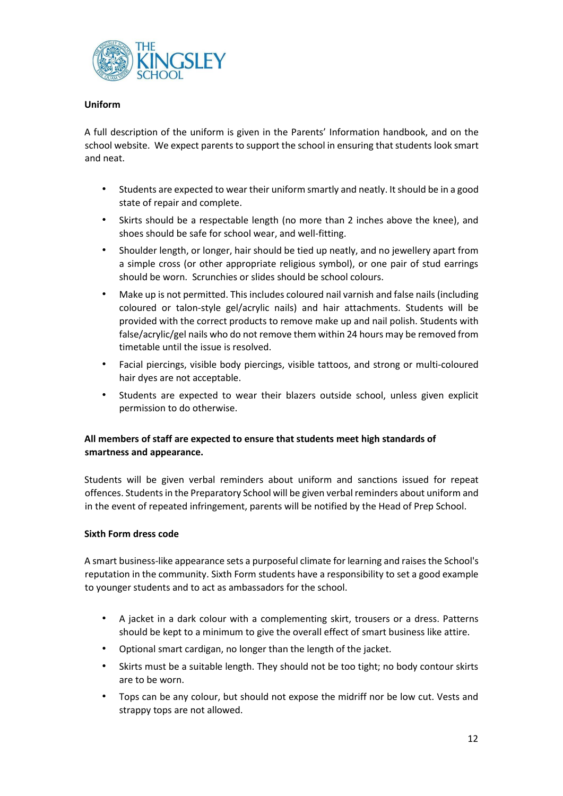

# **Uniform**

A full description of the uniform is given in the Parents' Information handbook, and on the school website. We expect parents to support the school in ensuring that students look smart and neat.

- Students are expected to wear their uniform smartly and neatly. It should be in a good state of repair and complete.
- Skirts should be a respectable length (no more than 2 inches above the knee), and shoes should be safe for school wear, and well-fitting.
- Shoulder length, or longer, hair should be tied up neatly, and no jewellery apart from a simple cross (or other appropriate religious symbol), or one pair of stud earrings should be worn. Scrunchies or slides should be school colours.
- Make up is not permitted. This includes coloured nail varnish and false nails (including coloured or talon-style gel/acrylic nails) and hair attachments. Students will be provided with the correct products to remove make up and nail polish. Students with false/acrylic/gel nails who do not remove them within 24 hours may be removed from timetable until the issue is resolved.
- Facial piercings, visible body piercings, visible tattoos, and strong or multi-coloured hair dyes are not acceptable.
- Students are expected to wear their blazers outside school, unless given explicit permission to do otherwise.

# **All members of staff are expected to ensure that students meet high standards of smartness and appearance.**

Students will be given verbal reminders about uniform and sanctions issued for repeat offences. Studentsin the Preparatory School will be given verbal reminders about uniform and in the event of repeated infringement, parents will be notified by the Head of Prep School.

## **Sixth Form dress code**

A smart business-like appearance sets a purposeful climate for learning and raises the School's reputation in the community. Sixth Form students have a responsibility to set a good example to younger students and to act as ambassadors for the school.

- A jacket in a dark colour with a complementing skirt, trousers or a dress. Patterns should be kept to a minimum to give the overall effect of smart business like attire.
- Optional smart cardigan, no longer than the length of the jacket.
- Skirts must be a suitable length. They should not be too tight; no body contour skirts are to be worn.
- Tops can be any colour, but should not expose the midriff nor be low cut. Vests and strappy tops are not allowed.